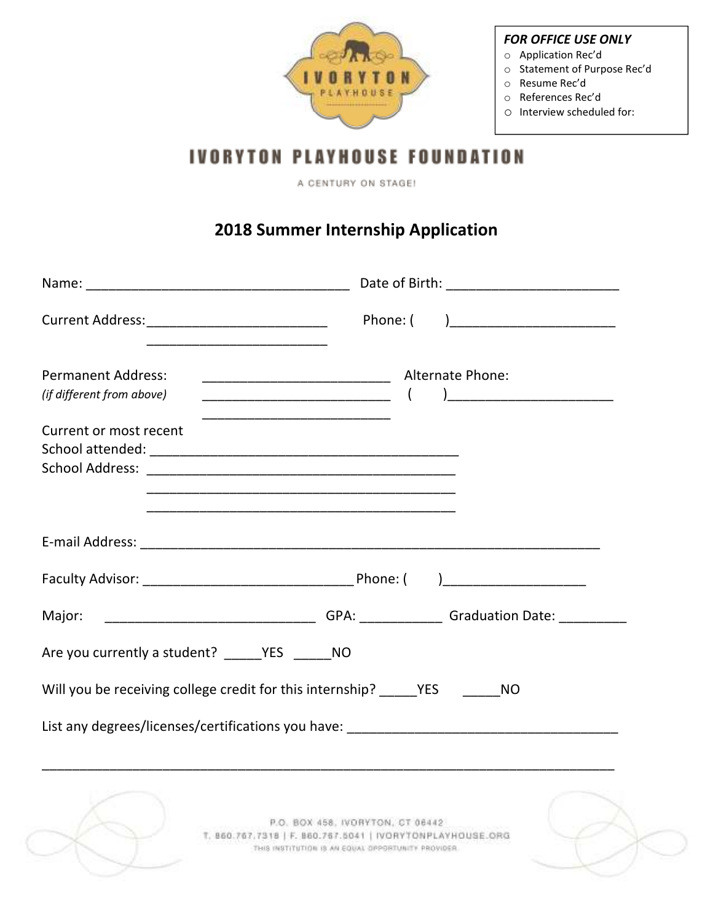

## *FOR OFFICE USE ONLY*

- o Application Rec'd
- o Statement of Purpose Rec'd
- o Resume Rec'd
- o References Rec'd
- o Interview scheduled for:

## **IVORYTON PLAYHOUSE FOUNDATION**

A CENTURY ON STAGE!

## **2018 Summer Internship Application**

| Current Address: _______________________________                                                                                                                                                   | Phone: (                                                                                                                                            |  |  |  |
|----------------------------------------------------------------------------------------------------------------------------------------------------------------------------------------------------|-----------------------------------------------------------------------------------------------------------------------------------------------------|--|--|--|
| <b>Permanent Address:</b><br>(if different from above)<br>Current or most recent<br>School Address: 2008 2009 2009 2009 2009 2010 2021 2022 2023 2024 2022 2023 2024 2022 2023 2024 2025 2026 2027 |                                                                                                                                                     |  |  |  |
| <u> 1989 - Johann John Stoff, deutscher Stoffen und der Stoffen und der Stoffen und der Stoffen und der Stoffen u</u>                                                                              |                                                                                                                                                     |  |  |  |
| _____________________________________GPA: ________________Graduation Date: ____________<br>Major:                                                                                                  |                                                                                                                                                     |  |  |  |
| Are you currently a student? YES NO                                                                                                                                                                |                                                                                                                                                     |  |  |  |
| Will you be receiving college credit for this internship? ______ YES _______ NO                                                                                                                    |                                                                                                                                                     |  |  |  |
|                                                                                                                                                                                                    |                                                                                                                                                     |  |  |  |
|                                                                                                                                                                                                    | P.O. BOX 458, IVORYTON, CT 06442<br>T. 860.767.7318   F. 860.767.5041   IVORYTONPLAYHOUSE.ORG<br>THIS INSTITUTION IS AN EQUAL OPPORTUNITY PROVIDER. |  |  |  |